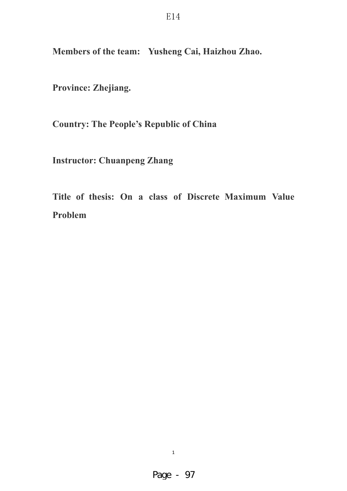**Members of the team: Yusheng Cai, Haizhou Zhao.** 

**Province: Zhejiang.** 

**Country: The People's Republic of China** 

**Instructor: Chuanpeng Zhang** 

**Title of thesis: On a class of Discrete Maximum Value Problem**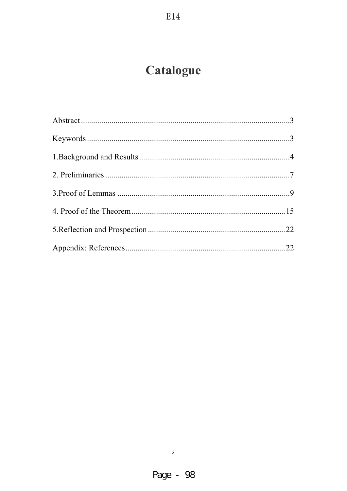# Catalogue

 $E14$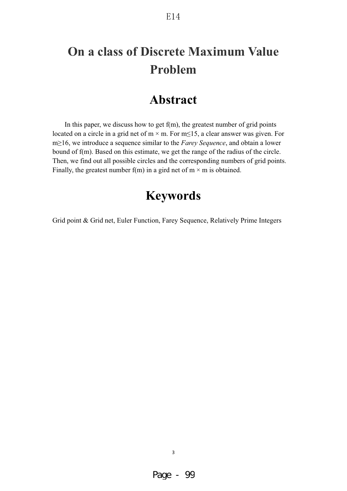### E14

# **On a class of Discrete Maximum Value Problem**

## **Abstract**

In this paper, we discuss how to get  $f(m)$ , the greatest number of grid points located on a circle in a grid net of  $m \times m$ . For  $m \le 15$ , a clear answer was given. For m
let the *Farey Sequence*, and obtain a lower bound of f(m). Based on this estimate, we get the range of the radius of the circle. Then, we find out all possible circles and the corresponding numbers of grid points. Finally, the greatest number f(m) in a gird net of  $m \times m$  is obtained.

# **Keywords**

Grid point & Grid net, Euler Function, Farey Sequence, Relatively Prime Integers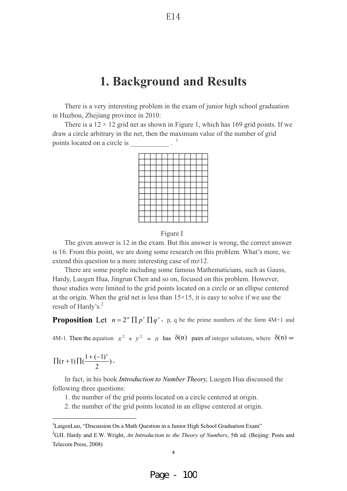## **1. Background and Results**

There is a very interesting problem in the exam of junior high school graduation in Huzhou, Zhejiang province in 2010:

There is a  $12 \times 12$  grid net as shown in Figure 1, which has 169 grid points. If we draw a circle arbitrary in the net, then the maximum value of the number of grid points located on a circle is \_\_\_\_\_\_\_\_\_\_\_ . <sup>1</sup>





The given answer is 12 in the exam. But this answer is wrong, the correct answer is 16. From this point, we are doing some research on this problem. What's more, we extend this question to a more interesting case of  $m \neq 12$ .

There are some people including some famous Mathematicians, such as Gauss, Hardy, Luogen Hua, Jingrun Chen and so on, focused on this problem. However, those studies were limited to the grid points located on a circle or an ellipse centered at the origin. When the grid net is less than  $15\times15$ , it is easy to solve if we use the result of Hardy's.<sup>2</sup>

**Proposition** Let  $n = 2^{\alpha} \prod p^r \prod q^s$ , p, q be the prime numbers of the form 4M+1 and

4M-1. Then the equation  $x^2 + y^2 = n$  has  $\delta(n)$  pairs of integer solutions, where  $\delta(n) =$ 

$$
\Pi(r+1)\Pi(\frac{1+(-1)^s}{2})\,.
$$

------------------------------------------------------------

In fact, in his book *Introduction to Number Theory,* Luogen Hua discussed the following three questions:

1. the number of the grid points located on a circle centered at origin.

2. the number of the grid points located in an ellipse centered at origin.

<sup>&</sup>lt;sup>1</sup>LaigenLuo, "Discussion On a Math Question in a Junior High School Graduation Exam"

<sup>&</sup>lt;sup>2</sup>G.H. Hardy and E.W. Wright, *An Introduction to the Theory of Numbers*, 5th ed. (Beijing: Posts and Telecom Press, 2008)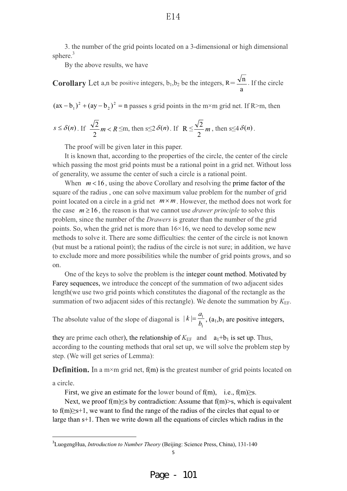3. the number of the grid points located on a 3-dimensional or high dimensional sphere.<sup>3</sup>

By the above results, we have

**Corollary** Let a,n be positive integers,  $b_1, b_2$  be the integers,  $R =$ a  $\frac{n}{n}$ . If the circle

 $(ax - b_1)^2 + (ay - b_2)^2 = n$  $(-b_1)^2 + (ay - b_2)^2 = n$  passes s grid points in the m×m grid net. If R>m, then

$$
s \le \delta(n). \text{ If } \frac{\sqrt{2}}{2}m < R \leq m, \text{ then } s \leq 2\delta(n). \text{ If } R \leq \frac{\sqrt{2}}{2}m, \text{ then } s \leq 4\delta(n).
$$

The proof will be given later in this paper.

It is known that, according to the properties of the circle, the center of the circle which passing the most grid points must be a rational point in a grid net. Without loss of generality, we assume the center of such a circle is a rational point.

When  $m < 16$ , using the above Corollary and resolving the prime factor of the square of the radius , one can solve maximum value problem for the number of grid point located on a circle in a grid net  $m \times m$ . However, the method does not work for the case  $m \ge 16$ , the reason is that we cannot use *drawer principle* to solve this problem, since the number of the *Drawers* is greater than the number of the grid points. So, when the grid net is more than  $16\times16$ , we need to develop some new methods to solve it. There are some difficulties: the center of the circle is not known (but must be a rational point); the radius of the circle is not sure; in addition, we have to exclude more and more possibilities while the number of grid points grows, and so on.

One of the keys to solve the problem is the integer count method. Motivated by Farey sequences, we introduce the concept of the summation of two adjacent sides length(we use two grid points which constitutes the diagonal of the rectangle as the summation of two adjacent sides of this rectangle). We denote the summation by  $K_{\text{EF}}$ .

The absolute value of the slope of diagonal is  $|k| = \frac{a_1}{b_1}$ , (a<sub>1</sub>,b<sub>1</sub> are positive integers,

they are prime each other), the relationship of  $K_{\text{EF}}$  and  $a_1+b_1$  is set up. Thus, according to the counting methods that oral set up, we will solve the problem step by step. (We will get series of Lemma):

**Definition.** In a m×m grid net,  $f(m)$  is the greatest number of grid points located on

a circle.

------------------------------------------------------------

First, we give an estimate for the lower bound of  $f(m)$ , i.e.,  $f(m) \geq s$ .

Next, we proof  $f(m) \leq s$  by contradiction: Assume that  $f(m) > s$ , which is equivalent to  $f(m) \geq s+1$ , we want to find the range of the radius of the circles that equal to or large than s+1. Then we write down all the equations of circles which radius in the

<sup>3</sup> LuogengHua, *Introduction to Number Theory* (Beijing: Science Press, China), 131-140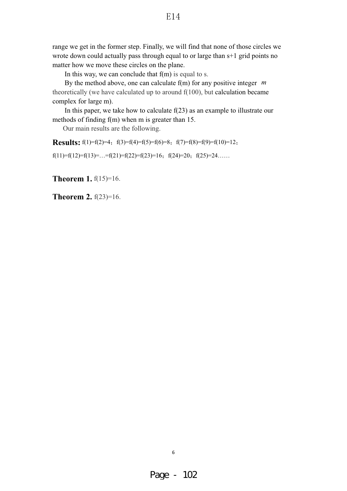range we get in the former step. Finally, we will find that none of those circles we wrote down could actually pass through equal to or large than s+1 grid points no matter how we move these circles on the plane.

In this way, we can conclude that  $f(m)$  is equal to s.

By the method above, one can calculate f(m) for any positive integer *m* theoretically (we have calculated up to around f(100), but calculation became complex for large m).

In this paper, we take how to calculate  $f(23)$  as an example to illustrate our methods of finding f(m) when m is greater than 15.

Our main results are the following.

**Results:**  $f(1)=f(2)=4$ ,  $f(3)=f(4)=f(5)=f(6)=8$ ,  $f(7)=f(8)=f(9)=f(10)=12$ ,

f(11)=f(12)=f(13)=...=f(21)=f(22)=f(23)=16; f(24)=20; f(25)=24.....

**Theorem 1.**  $f(15)=16$ .

**Theorem 2.**  $f(23)=16$ .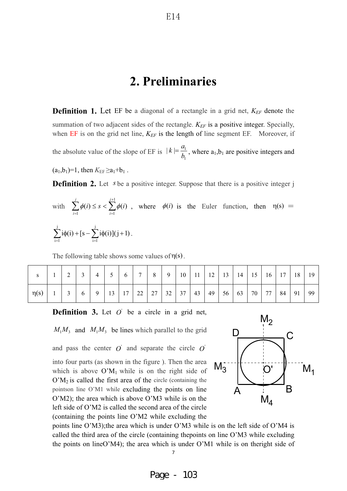### **2. Preliminaries**

**Definition 1.** Let EF be a diagonal of a rectangle in a grid net,  $K_{EF}$  denote the summation of two adjacent sides of the rectangle.  $K_{EF}$  is a positive integer. Specially, when  $EF$  is on the grid net line,  $K_{EF}$  is the length of line segment  $EF$ . Moreover, if

the absolute value of the slope of EF is  $|k| = \frac{a_1}{b_1}$ , where  $a_1, b_1$  are positive integers and

 $(a_1,b_1)=1$ , then  $K_{EF} \ge a_1+b_1$ .

**Definition 2.** Let *s* be a positive integer. Suppose that there is a positive integer j

with 
$$
\sum_{i=1}^{j} \phi(i) \le s < \sum_{i=1}^{j+1} \phi(i)
$$
, where  $\phi(i)$  is the Euler function, then  $\eta(s) = \sum_{i=1}^{j} i\phi(i) + [s - \sum_{i=1}^{j} i\phi(i)](j+1)$ .

The following table shows some values of  $\eta(s)$ .

|           | $\sim$<br>∠ | ◡ | $\overline{4}$ | ັ  | 6  | $\overline{ }$ | 8  | 9  | 10 | 11 | 12 | 13 | 14 | 15 | 16 | 17 | 18 | 19 |
|-----------|-------------|---|----------------|----|----|----------------|----|----|----|----|----|----|----|----|----|----|----|----|
| $\eta(s)$ | $\sim$      | 6 | 9              | 13 | 17 | 22             | 27 | 32 | 37 | 43 | 49 | 56 | 63 | 70 | 77 | 84 | 91 | 99 |

**Definition 3.** Let  $O'$  be a circle in a grid net,

 $M_1M_3$  and  $M_1M_3$  be lines which parallel to the grid

and pass the center  $\dot{O}$  and separate the circle  $\dot{O}$ into four parts (as shown in the figure ). Then the area which is above  $O'M_1$  while is on the right side of  $O'M_2$  is called the first area of the circle (containing the pointson line O'M1 while excluding the points on line O'M2); the area which is above O'M3 while is on the left side of O'M2 is called the second area of the circle (containing the points line O'M2 while excluding the



points line O'M3);the area which is under O'M3 while is on the left side of O'M4 is called the third area of the circle (containing thepoints on line O'M3 while excluding the points on lineO'M4); the area which is under O'M1 while is on theright side of

7-

E14

Page - 103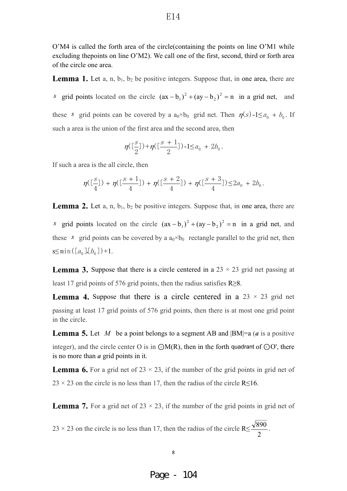O'M4 is called the forth area of the circle(containing the points on line O'M1 while excluding thepoints on line O'M2). We call one of the first, second, third or forth area of the circle one area.

**Lemma 1.** Let  $a, n, b_1, b_2$  be positive integers. Suppose that, in one area, there are *s* grid points located on the circle  $(ax - b_1)^2 + (ay - b_2)^2 = n$  $(-b_1)^2 + (ay - b_2)^2 = n$  in a grid net, and these *s* grid points can be covered by a  $a_0 \times b_0$  grid net. Then  $\eta(s)$ -1 $\le a_0 + b_0$ . If such a area is the union of the first area and the second area, then

$$
\eta([\frac{s}{2}])\!+\!\eta([\frac{s+1}{2}])\text{-}1{\leq}a_0\,+\,2b_0\,.
$$

If such a area is the all circle, then

$$
\eta([\frac{s}{4}]) + \eta([\frac{s+1}{4}]) + \eta([\frac{s+2}{4}]) + \eta([\frac{s+3}{4}]) {\leq} 2a_0 + 2b_0.
$$

**Lemma 2.** Let  $a, n, b_1, b_2$  be positive integers. Suppose that, in one area, there are *s* grid points located on the circle  $(ax - b_1)^2 + (ay - b_2)^2 = n$  $(-b_1)^2 + (ay - b_2)^2 = n$  in a grid net, and these *s* grid points can be covered by a  $a_0 \times b_0$  rectangle parallel to the grid net, then  $s \le \min([a_0], [b_0]) + 1.$ 

**Lemma 3.** Suppose that there is a circle centered in a  $23 \times 23$  grid net passing at least 17 grid points of 576 grid points, then the radius satisfies  $R \ge 8$ .

**Lemma 4.** Suppose that there is a circle centered in a  $23 \times 23$  grid net passing at least 17 grid points of 576 grid points, then there is at most one grid point in the circle.

**Lemma 5.** Let *M* be a point belongs to a segment AB and |BM|=a (*a* is a positive integer), and the circle center O is in  $\bigcirc M(R)$ , then in the forth quadrant of  $\bigcirc O'$ , there is no more than *a* grid points in it.

**Lemma 6.** For a grid net of  $23 \times 23$ , if the number of the grid points in grid net of  $23 \times 23$  on the circle is no less than 17, then the radius of the circle R $\leq$ 16.

**Lemma 7.** For a grid net of  $23 \times 23$ , if the number of the grid points in grid net of

23 × 23 on the circle is no less than 17, then the radius of the circle  $R \leq \frac{\sqrt{6}}{2}$  $\frac{890}{1}$ .

Page - 104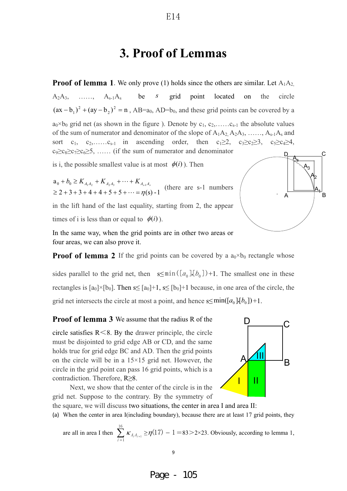### **3. Proof of Lemmas**

**Proof of lemma 1**. We only prove (1) holds since the others are similar. Let  $A_1A_2$ , A2A3, ……, As-1As be *s* grid point located on the circle  $(ax - b_1)^2 + (ay - b_2)^2 = n$  $(-b_1)^2 + (ay - b_2)^2 = n$ , AB=a<sub>0</sub>, AD=b<sub>0</sub>, and these grid points can be covered by a  $a_0 \times b_0$  grid net (as shown in the figure). Denote by  $c_1, c_2, \ldots, c_{s-1}$  the absolute values of the sum of numerator and denominator of the slope of  $A_1A_2, A_2A_3, \ldots, A_{s-1}A_s$  and sort c<sub>1</sub>, c<sub>2</sub>,……c<sub>s-1</sub> in ascending order, then c<sub>1</sub> $\geq$ 2, c<sub>3</sub> $\geq$ c<sub>2</sub> $\geq$ 3, c<sub>5</sub> $\geq$ c<sub>4</sub> $\geq$ 4,  $c_9 \geq c_8 \geq c_7 \geq c_6 \geq 5$ , ...... (if the sum of numerator and denominator is i, the possible smallest value is at most  $\phi(i)$ ). Then  $2+3+3+4+4+5+5+\cdots = \eta(s) - 1$  $a_0 + b_0 \geq K_{A_1 A_2} + K_{A_2 A_3} + \cdots + K_{A_{s-1}}$  $\geq 2 + 3 + 3 + 4 + 4 + 5 + 5 + \cdots = \eta$  $+ b_0 \geq K_{A_1A_2} + K_{A_2A_3} + \cdots +$  $b_0 \ge K_{A_1A_2} + K_{A_2A_3} + \cdots + K_{A_{s-1}A_s}$  (there are s-1 numbers in the lift hand of the last equality, starting from 2, the appear  $D_{\bullet}$  C A  $\mathcal{A}_3$ As

times of i is less than or equal to  $\phi(i)$ ).

In the same way, when the grid points are in other two areas or four areas, we can also prove it.

**Proof of lemma 2** If the grid points can be covered by a  $a_0 \times b_0$  rectangle whose sides parallel to the grid net, then  $s \leq min([a_0],[b_0]) + 1$ . The smallest one in these rectangles is  $[a_0] \times [b_0]$ . Then  $s \leq [a_0] + 1$ ,  $s \leq [b_0] + 1$  because, in one area of the circle, the grid net intersects the circle at most a point, and hence  $s \leq min([a_0],[b_0]) + 1$ .

**Proof of lemma 3** We assume that the radius R of the

circle satisfies  $R \le 8$ . By the drawer principle, the circle must be disjointed to grid edge AB or CD, and the same holds true for grid edge BC and AD. Then the grid points on the circle will be in a 15×15 grid net. However, the circle in the grid point can pass 16 grid points, which is a contradiction. Therefore,  $R \geq 8$ .



Next, we show that the center of the circle is in the grid net. Suppose to the contrary. By the symmetry of

the square, we will discuss two situations, the center in area I and area II: (a) When the center in area I(including boundary), because there are at least 17 grid points, they

are all in area I then  $\sum_{i=1}^{16} K_{A_i A_i}$  $\sum_{i=1}^{n_i n_{i+1}}$  $\kappa_{A_i A_{i+1}} \ge \eta(17) - 1 = 83 > 2 \times 23$ . Obviously, according to lemma 1,



Page - 105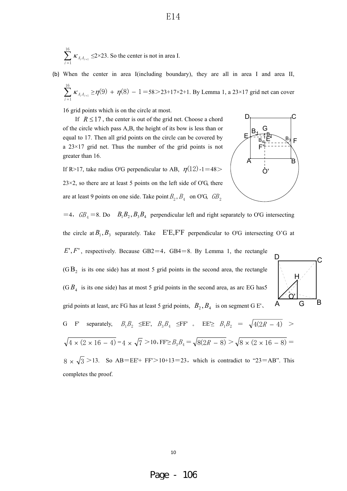$$
\sum_{i=1}^{16} \kappa_{A_i A_{i+1}} \leq 2 \times 23
$$
. So the center is not in area I.

(b) When the center in area I(including boundary), they are all in area I and area II,

E14

$$
\sum_{i=1}^{16} \kappa_{A_i A_{i+1}} \ge \eta(9) + \eta(8) - 1 = 58 > 23 + 17 \times 2 + 1
$$
. By Lemma 1, a 23×17 grid net can cover

16 grid points which is on the circle at most.

If  $R \leq 17$ , the center is out of the grid net. Choose a chord of the circle which pass A,B, the height of its bow is less than or equal to 17. Then all grid points on the circle can be covered by a 23×17 grid net. Thus the number of the grid points is not greater than 16.

If R>17, take radius O'G perpendicular to AB,  $\eta(12)$ -1=48>  $23\times2$ , so there are at least 5 points on the left side of O'G, there are at least 9 points on one side. Take point  $B_2$ ,  $B_4$  on O'G,  $GB_2$ 



 $=4$ ,  $GB_4 = 8$ . Do  $B_1B_2$ ,  $B_3B_4$  perpendicular left and right separately to O'G intersecting

the circle at  $B_1, B_3$  separately. Take E'E,F'F perpendicular to O'G intersecting O'G at

 $E', F'$ , respectively. Because GB2=4, GB4=8. By Lemma 1, the rectangle

 $(G B<sub>2</sub>$  is its one side) has at most 5 grid points in the second area, the rectangle  $(G B<sub>4</sub>$  is its one side) has at most 5 grid points in the second area, as arc EG has 5 grid points at least, arc FG has at least 5 grid points,  $B_2, B_4$  is on segment G E'.



G F' separately,  $B_1B_2 \leq E E'$ ,  $B_3B_4 \leq F F'$  .  $E E \geq B_1B_2 = \sqrt{4(2R - 4)}$  >  $\sqrt{4 \times (2 \times 16 - 4)} = 4 \times \sqrt{7} > 10$ , FF $\geq B_3B_4 = \sqrt{8(2R - 8)} > \sqrt{8 \times (2 \times 16 - 8)}$ 

 $8 \times \sqrt{3}$  > 13. So AB=EE'+ FF' > 10+13=23, which is contradict to "23=AB". This completes the proof.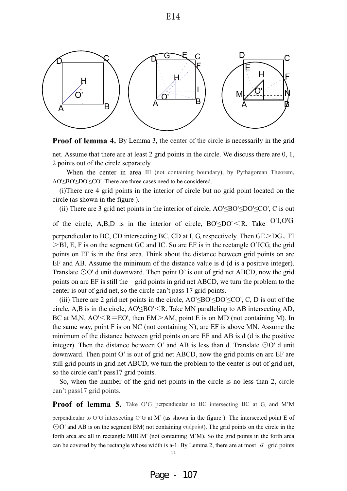

**Proof of lemma 4.** By Lemma 3, the center of the circle is necessarily in the grid

net. Assume that there are at least 2 grid points in the circle. We discuss there are 0, 1, 2 points out of the circle separately.

When the center in area III (not containing boundary), by Pythagorean Theorem, AO'<BO'<DO'<CO'. There are three cases need to be considered.

(i)There are 4 grid points in the interior of circle but no grid point located on the circle (as shown in the figure ).

(ii) There are 3 grid net points in the interior of circle,  $AO' \leq BO' \leq DO' \leq CO'$ , C is out

of the circle, A,B,D is in the interior of circle,  $BO' \leq DO' \leq R$ . Take  $O'I, O'G$ 

perpendicular to BC, CD intersecting BC, CD at I, G, respectively. Then  $GE \ge DG$ , FI  $>BI$ , E, F is on the segment GC and IC. So arc EF is in the rectangle O'ICG, the grid points on EF is in the first area. Think about the distance between grid points on arc EF and AB. Assume the minimum of the distance value is d (d is a positive integer). Translate  $\odot$ O' d unit downward. Then point O' is out of grid net ABCD, now the grid points on arc EF is still the grid points in grid net ABCD, we turn the problem to the center is out of grid net, so the circle can't pass 17 grid points.

(iii) There are 2 grid net points in the circle,  $AO' \leq BO' \leq DO' \leq CO'$ , C, D is out of the circle, A,B is in the circle,  $AO' \leq BO' \leq R$ . Take MN paralleling to AB intersecting AD, BC at M,N,  $AO' < R = EO'$ , then  $EM > AM$ , point E is on MD (not containing M). In the same way, point F is on NC (not containing N), arc EF is above MN. Assume the minimum of the distance between grid points on arc EF and AB is d (d is the positive integer). Then the distance between O' and AB is less than d. Translate  $\odot$ O' d unit downward. Then point O' is out of grid net ABCD, now the grid points on arc EF are still grid points in grid net ABCD, we turn the problem to the center is out of grid net, so the circle can't pass17 grid points.

So, when the number of the grid net points in the circle is no less than 2, circle can't pass17 grid points.

**Proof of lemma 5.** Take O'G perpendicular to BC intersecting BC at G, and M'M

perpendicular to O'G intersecting O'G at M' (as shown in the figure ). The intersected point E of  $\odot$ O' and AB is on the segment BM( not containing endpoint). The grid points on the circle in the forth area are all in rectangle MBGM' (not containing M'M). So the grid points in the forth area can be covered by the rectangle whose width is a-1. By Lemma 2, there are at most  $a$  grid points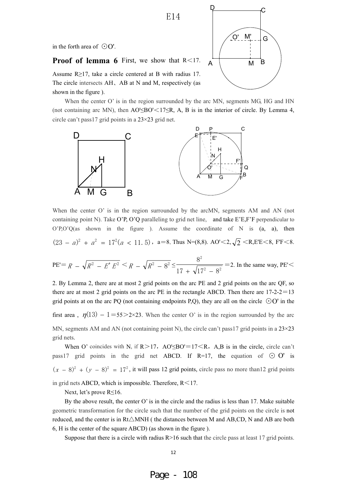E14

in the forth area of  $\odot$ O'.

**Proof of lemma 6** First, we show that  $R \leq 17$ .

Assume  $R>17$ , take a circle centered at B with radius 17. The circle intersects AH, AB at N and M, respectively (as shown in the figure ).

When the center O' is in the region surrounded by the arc MN, segments MG, HG and HN (not containing arc MN), then  $AO' \leq BO' \leq 17 \leq R$ , A, B is in the interior of circle. By Lemma 4, circle can't pass17 grid points in a 23×23 grid net.



When the center O' is in the region surrounded by the arcMN, segments AM and AN (not containing point N). Take O'P, O'Q paralleling to grid net line, and take E'E,F'F perpendicular to  $O'P,O'Q(as)$  shown in the figure ). Assume the coordinate of N is (a, a), then  $(23 - a)^2 + a^2 = 17^2(a < 11.5)$ , a=8. Thus N=(8,8). AO' $\lt 2, \sqrt{2} \lt R$ , E'E $\lt 8$ , F'F $\lt 8$ .

PE'= 
$$
R - \sqrt{R^2 - E' E^2} < R - \sqrt{R^2 - 8^2} \le \frac{8^2}{17 + \sqrt{17^2 - 8^2}} = 2
$$
. In the same way, PE'  $<$ 

2. By Lemma 2, there are at most 2 grid points on the arc PE and 2 grid points on the arc QF, so there are at most 2 grid points on the arc PE in the rectangle ABCD. Then there are  $17-2-2=13$ grid points at on the arc PQ (not containing endpoints P,Q), they are all on the circle  $\odot$ O' in the first area,  $\eta(13) - 1 = 55 > 2 \times 23$ . When the center O' is in the region surrounded by the arc MN, segments AM and AN (not containing point N), the circle can't pass 17 grid points in a  $23\times23$ grid nets.

When O' coincides with N, if  $R > 17$ ,  $AO' \leq BO' = 17 < R$ , A,B is in the circle, circle can't pass17 grid points in the grid net ABCD. If R=17, the equation of  $\odot$  O' is  $(x - 8)^2 + (y - 8)^2 = 17^2$ , it will pass 12 grid points, circle pass no more than 12 grid points in grid nets ABCD, which is impossible. Therefore,  $R < 17$ .

Next, let's prove  $R \le 16$ .

By the above result, the center O' is in the circle and the radius is less than 17. Make suitable geometric transformation for the circle such that the number of the grid points on the circle is not reduced, and the center is in  $Rt\triangle MNH$  ( the distances between M and AB,CD, N and AB are both 6, H is the center of the square ABCD) (as shown in the figure ).

Suppose that there is a circle with radius  $R>16$  such that the circle pass at least 17 grid points.

 $M' = \frac{1}{2} G$ A B O' M

 $P \longrightarrow C$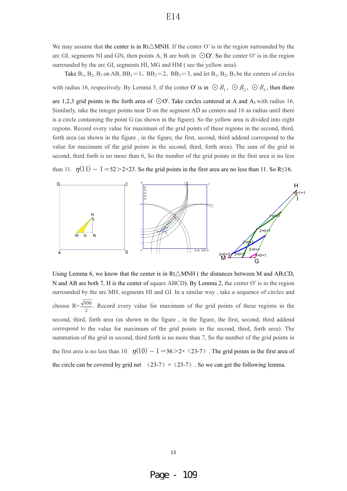We may assume that the center is in  $Rt\triangle MNH$ . If the center O' is in the region surrounded by the arc GI, segments NI and GN, then points A, B are both in  $\odot$ O'. So the center O' is in the region surrounded by the arc GI, segments HI, MG and HM ( see the yellow area).

Take  $B_1$ ,  $B_2$ ,  $B_3$  on AB,  $BB_1=1$ ,  $BB_2=2$ ,  $BB_3=3$ , and let  $B_1$ ,  $B_2$ ,  $B_3$  be the centers of circles with radius 16, respectively. By Lemma 5, if the center O' is in  $\bigcirc B_1$ ,  $\bigcirc B_2$ ,  $\bigcirc B_3$ , then there

are 1,2,3 grid points in the forth area of  $\odot$ O'. Take circles centered at A and A<sub>1</sub> with radius 16. Similarly, take the integer points near D on the segment AD as centers and 16 as radius until there is a circle containing the point G (as shown in the figure). So the yellow area is divided into eight regions. Record every value for maximum of the grid points of these regions in the second, third, forth area (as shown in the figure , in the figure, the first, second, third addend correspond to the value for maximum of the grid points in the second, third, forth area). The sum of the grid in second, third forth is no more than 6, So the number of the grid points in the first area is no less

than 11.  $\eta(11) - 1 = 52 > 2 \times 23$ . So the grid points in the first area are no less than 11. So R less 16.



Using Lemma 6, we know that the center is in  $Rt\triangle MNH$  ( the distances between M and AB,CD, N and AB are both 7, H is the center of square ABCD). By Lemma 2, the center O' is in the region surrounded by the arc MH, segments HI and GI. In a similar way , take a sequence of circles and choose  $R = \frac{\sqrt{890}}{2}$ . Record every value for maximum of the grid points of these regions in the second, third, forth area (as shown in the figure , in the figure, the first, second, third addend correspond to the value for maximum of the grid points in the second, third, forth area). The summation of the grid in second, third forth is no more than 7, So the number of the grid points in the first area is no less than 10.  $\eta(10) - 1 = 36 > 2 \times (23-7)$ . The grid points in the first area of the circle can be covered by grid net  $(23-7) \times (23-7)$ . So we can get the following lemma.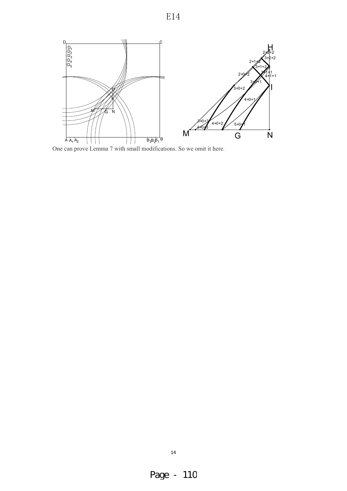### E14



One can prove Lemma 7 with small modifications. So we omit it here.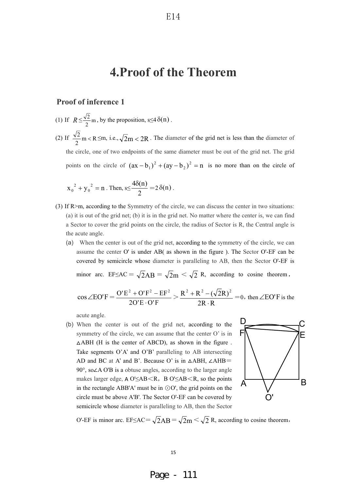# **4.Proof of the Theorem**

#### **Proof of inference 1**

- (1) If  $R \leq \frac{\sqrt{2}}{2}$  m, by the proposition, s  $\leq 4 \delta(n)$ .
- (2) If  $\frac{v}{\pi}$ m < R 2  $\frac{2}{n}$  m < R  $\leq$  m, i.e.,  $\sqrt{2}$  m < 2R. The diameter of the grid net is less than the diameter of the circle, one of two endpoints of the same diameter must be out of the grid net. The grid points on the circle of  $(ax - b_1)^2 + (ay - b_2)^2 = n$  $(-b_1)^2 + (ay - b_2)^2 = n$  is no more than on the circle of

$$
x_0^2 + y_0^2 = n
$$
. Then,  $s \le \frac{4\delta(n)}{2} = 2\delta(n)$ .

- (3) If R>m, according to the Symmetry of the circle, we can discuss the center in two situations: (a) it is out of the grid net; (b) it is in the grid net. No matter where the center is, we can find a Sector to cover the grid points on the circle, the radius of Sector is R, the Central angle is the acute angle.
	- (a) When the center is out of the grid net, according to the symmetry of the circle, we can assume the center O' is under AB( as shown in the figure ). The Sector O'-EF can be covered by semicircle whose diameter is paralleling to AB, then the Sector O'-EF is

minor arc. EF $\leq AC = \sqrt{2AB} = \sqrt{2m} \leq \sqrt{2} R$ , according to cosine theorem,

$$
\cos \angle \text{EO}'\text{F} = \frac{\text{O}'\text{E}^2 + \text{O}'\text{F}^2 - \text{EF}^2}{2\text{O}'\text{E} \cdot \text{O}'\text{F}} > \frac{R^2 + R^2 - (\sqrt{2}R)^2}{2R \cdot R} = 0, \text{ then } \angle \text{EO}'\text{F is the}
$$

acute angle.

(b) When the center is out of the grid net, according to the symmetry of the circle, we can assume that the center O' is in  $\triangle$ ABH (H is the center of ABCD), as shown in the figure. Take segments O'A' and O'B' paralleling to AB intersecting AD and BC at A' and B'. Because O' is in  $\triangle$ ABH,  $\angle$ AHB<sup>=</sup>  $90^\circ$ , so $\angle A$  O'B is a obtuse angles, according to the larger angle makes larger edge,  $A O' \leq AB \leq R$ ,  $B O' \leq AB \leq R$ , so the points in the rectangle ABB'A' must be in  $\odot$ O', the grid points on the circle must be above A'B'. The Sector O'-EF can be covered by semicircle whose diameter is paralleling to AB, then the Sector



O'-EF is minor arc. EF $\leq AC = \sqrt{2AB} = \sqrt{2m} \leq \sqrt{2} R$ , according to cosine theorem,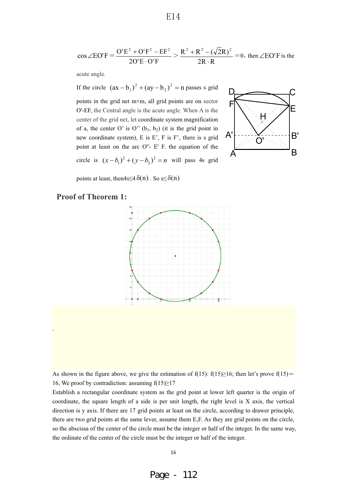$$
\cos \angle \text{EO}'\text{F} = \frac{\text{O}'\text{E}^2 + \text{O}'\text{F}^2 - \text{EF}^2}{2\text{O}'\text{E} \cdot \text{O}'\text{F}} > \frac{R^2 + R^2 - (\sqrt{2}R)^2}{2R \cdot R} = 0, \text{ then } \angle \text{EO}'\text{F is the}
$$

acute angle.

If the circle  $(ax - b_1)^2 + (ay - b_2)^2 = n$  $(-b_1)^2 + (ay - b_2)^2 = n$  passes s grid points in the grid net m×m, all grid points are on sector O'-EF, the Central angle is the acute angle. When A is the center of the grid net, let coordinate system magnification of a, the center O' is O"  $(b_1, b_2)$  (it is the grid point in new coordinate system), E is E', F is F', there is s grid point at least on the arc O''- E' F. the equation of the circle is  $(x - b_1)^2 + (y - b_2)^2 = n$  $(x-b_1)^2 + (y-b_2)^2 = n$  will pass 4s grid



points at least, then $4s \leq 4 \delta(n)$ . So  $s \leq \delta(n)$ 

#### **Proof of Theorem 1:**

.



As shown in the figure above, we give the estimation of  $f(15)$ :  $f(15) \ge 16$ ; then let's prove  $f(15)$ 16, We proof by contradiction: assuming  $f(15)\geq 17$ 

Establish a rectangular coordinate system as the grid point at lower left quarter is the origin of coordinate, the square length of a side is per unit length, the right level is X axis, the vertical direction is y axis. If there are 17 grid points at least on the circle, according to drawer principle, there are two grid points at the same lever, assume them E,F. As they are grid points on the circle, so the abscissa of the center of the circle must be the integer or half of the integer. In the same way, the ordinate of the center of the circle must be the integer or half of the integer.

E14

Page - 112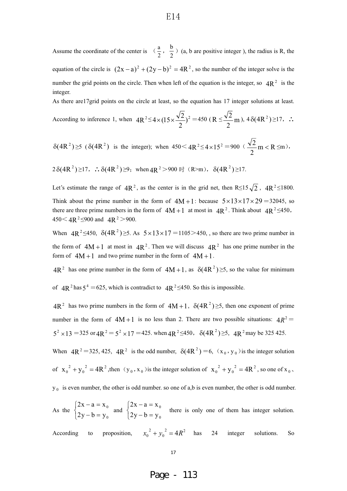Assume the coordinate of the center is  $\left(\frac{a}{2}, \frac{b}{2}\right)$  (a, b are positive integer), the radius is R, the equation of the circle is  $(2x - a)^2 + (2y - b)^2 = 4R^2$ , so the number of the integer solve is the number the grid points on the circle. Then when left of the equation is the integer, so  $4R^2$  is the integer. As there are17grid points on the circle at least, so the equation has 17 integer solutions at least.

According to inference 1, when 
$$
4R^2 \le 4 \times (15 \times \frac{\sqrt{2}}{2})^2 = 450 \text{ (R} \le \frac{\sqrt{2}}{2} \text{ m})
$$
,  $4 \delta (4R^2) \ge 17$ ,  $\therefore$ 

 $\delta(4R^2) \ge 5$  ( $\delta(4R^2)$ ) is the integer); when  $450 < 4R^2 \le 4 \times 15^2 = 900$  ( $\frac{\sqrt{2}}{2}$  m < R 2  $\frac{2}{m}$  m < R  $\leq$ m),

 $2\delta(4R^2) \ge 17$ ,  $\therefore \delta(4R^2) \ge 9$ ; when  $4R^2 > 900$  时 (R>m),  $\delta(4R^2) \ge 17$ .

Let's estimate the range of  $4R^2$ , as the center is in the grid net, then R $\leq 15\sqrt{2}$ ,  $4R^2 \leq 1800$ . Think about the prime number in the form of  $4M+1$ : because  $5\times13\times17\times29=32045$ , so there are three prime numbers in the form of  $4M+1$  at most in  $4R^2$ . Think about  $4R^2 \le 450$ ,  $450 < 4R^2 \le 900$  and  $4R^2 > 900$ .

When  $4R^2 \le 450$ ,  $\delta(4R^2) \ge 5$ . As  $5 \times 13 \times 17 = 1105 > 450$ , so there are two prime number in the form of  $4M+1$  at most in  $4R^2$ . Then we will discuss  $4R^2$  has one prime number in the form of  $4M+1$  and two prime number in the form of  $4M+1$ .

 $4R^2$  has one prime number in the form of  $4M+1$ , as  $\delta(4R^2) \ge 5$ , so the value for minimum

of  $4R^2$  has  $5^4 = 625$ , which is contradict to  $4R^2 \le 450$ . So this is impossible.

 $4R^2$  has two prime numbers in the form of  $4M+1$ ,  $\delta(4R^2) \ge 5$ , then one exponent of prime number in the form of  $4M+1$  is no less than 2. There are two possible situations:  $4R^2$  $5^2 \times 13 = 325$  or  $4R^2 = 5^2 \times 17 = 425$ . when  $4R^2 \le 450$ ,  $\delta(4R^2) \ge 5$ ,  $4R^2$  may be 325 425.

When  $4R^2 = 325, 425, 4R^2$  is the odd number,  $\delta(4R^2) = 6$ ,  $(x_0, y_0)$  is the integer solution

of  $x_0^2 + y_0^2 = 4R^2$  $x_0^2 + y_0^2 = 4R^2$ , then  $(y_0, x_0)$  is the integer solution of  $x_0^2 + y_0^2 = 4R^2$  $x_0^2 + y_0^2 = 4R^2$ , so one of  $x_0$ ,

 $y_0$  is even number, the other is odd number. so one of a,b is even number, the other is odd number.

As the  $\left\{\right.$ &  $\int$  $- b =$  $-a =$  $\boldsymbol{0}$ 0  $2y-b=y$  $2x-a=x$ and  $\left\{ \begin{array}{c} 1 \end{array} \right\}$ &  $\int$  $- b =$  $-a =$ 0 0  $2y-b=y$  $2x - a = x$ there is only one of them has integer solution.

According to proposition,  $x_0^2 + y_0^2 = 4R^2$  $x_0^2 + y_0^2 = 4R^2$  has 24 integer solutions. So

17-

Page - 113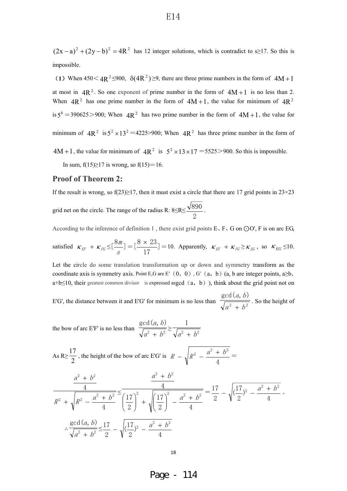$(2x - a)^2 + (2y - b)^2 = 4R^2$  has 12 integer solutions, which is contradict to s≥17. So this is impossible.

(1) When  $450 < 4R^2 \le 900$ ,  $\delta(4R^2) \ge 9$ , there are three prime numbers in the form of  $4M+1$ at most in  $4R^2$ . So one exponent of prime number in the form of  $4M+1$  is no less than 2. When  $4R^2$  has one prime number in the form of  $4M+1$ , the value for minimum of  $4R^2$ is  $5^8 = 390625 > 900$ ; When  $4R^2$  has two prime number in the form of  $4M+1$ , the value for minimum of  $4R^2$  is  $5^2 \times 13^2 = 4225 > 900$ ; When  $4R^2$  has three prime number in the form of 4M + 1, the value for minimum of  $4R^2$  is  $5^2 \times 13 \times 17 = 5525 > 900$ . So this is impossible. In sum,  $f(15)\geq 17$  is wrong, so  $f(15)=16$ .

#### **Proof of Theorem 2:**

If the result is wrong, so  $f(23) \ge 17$ , then it must exist a circle that there are 17 grid points in  $23 \times 23$ 

grid net on the circle. The range of the radius R:  $8\leq R \leq \frac{\sqrt{3}}{2}$  $\frac{890}{1}$ .

According to the inference of definition 1, there exist grid points  $E$ ,  $F$ ,  $G$  on  $O$  $O'$ ,  $F$  is on arc  $EG$ ,

satisfied  $\kappa_{EF} + \kappa_{FG} \leq \left[\frac{8m}{s}\right]$  $\begin{bmatrix} m \\ m \end{bmatrix} = \begin{bmatrix} 8 \times 23 \\ 17 \end{bmatrix}$ 17  $\left[\frac{8 \times 23}{17}\right] = 10$ . Apparently,  $\kappa_{EF} + \kappa_{FG} \ge \kappa_{EG}$ , so  $\kappa_{EG} \le 10$ .

Let the circle do some translation transformation up or down and symmetry transform as the coordinate axis is symmetry axis. Point E,G are E'  $(0, 0)$ , G'  $(a, b)$  are integer points, a by  $a+b\leq 10$ , their greatest common divisor is expressed asgcd  $(a, b)$ ), think about the grid point not on

E'G', the distance between it and E'G' for minimum is no less than  $\frac{1}{\sqrt{a^2 + b^2}}$  $gcd(a, b)$  $a^2 + b$  $a, b$  $\frac{1}{1 + b^2}$ . So the height of

the bow of arc E'F' is no less than  $\frac{1}{\sqrt{a^2 + b^2}}$  $gcd(a, b)$  $a^2 + b$  $\frac{(a, b)}{1 + b^2} \ge \frac{1}{\sqrt{a^2 + b^2}}$  $\mathbf{1}$  $a^2 + b^2$ 

As R> 
$$
\frac{17}{2}
$$
, the height of the bow of arc E'G' is  $R - \sqrt{R^2 - \frac{a^2 + b^2}{4}}$ 

$$
\frac{a^2 + b^2}{4}
$$
\n
$$
\frac{4}{R^2 + \sqrt{R^2 - \frac{a^2 + b^2}{4}}} \le \frac{a^2 + b^2}{\left(\frac{17}{2}\right)^2 + \sqrt{\left(\frac{17}{2}\right)^2 - \frac{a^2 + b^2}{4}}} = \frac{17}{2} - \sqrt{\left(\frac{17}{2}\right)^2 - \frac{a^2 + b^2}{4}}.
$$
\n
$$
\therefore \frac{\gcd(a, b)}{\sqrt{a^2 + b^2}} \le \frac{17}{2} - \sqrt{\left(\frac{17}{2}\right)^2 - \frac{a^2 + b^2}{4}}
$$

Page - 114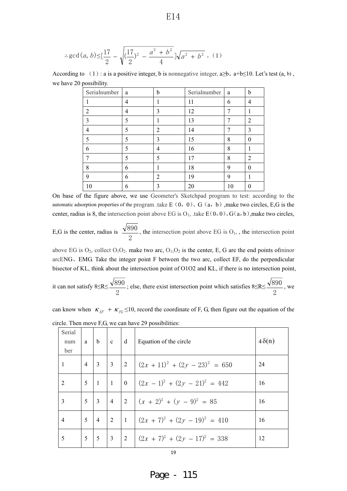$$
E14
$$

$$
\therefore \gcd(a, b) \le \left[\frac{17}{2} - \sqrt{\left(\frac{17}{2}\right)^2 - \frac{a^2 + b^2}{4}}\right] \sqrt{a^2 + b^2} \quad (1)
$$

According to  $(1)$ : a is a positive integer, b is nonnegative integer,  $a \ge b$ ,  $a+b \le 10$ . Let's test  $(a, b)$ , we have 20 possibility.

| Serialnumber   | a | b              | Serialnumber | a  | b        |
|----------------|---|----------------|--------------|----|----------|
|                | 4 |                | 11           | 6  | 4        |
| $\overline{2}$ | 4 | 3              | 12           | 7  |          |
| 3              | 5 |                | 13           | 7  | 2        |
| 4              | 5 | $\overline{2}$ | 14           | 7  | 3        |
| 5              | 5 | 3              | 15           | 8  | $\theta$ |
| 6              | 5 | 4              | 16           | 8  |          |
| 7              | 5 | 5              | 17           | 8  | 2        |
| 8              | 6 |                | 18           | 9  | $\Omega$ |
| 9              | 6 | 2              | 19           | 9  |          |
| 10             | 6 | 3              | 20           | 10 |          |

On base of the figure above, we use Geometer's Sketchpad program to test: according to the automatic adsorption properties of the program .take E $(0, 0)$ , G $(a, b)$ , make two circles, E,G is the center, radius is 8, the intersection point above EG is  $O<sub>1</sub>$ , take E $(0, 0)$ , G $(a, b)$ ,make two circles,

E,G is the center, radius is  $\overline{c}$  $\frac{890}{2}$ , the intersection point above EG is O<sub>1</sub>, the intersection point

above EG is  $O_2$ , collect  $O_1O_2$ . make two arc,  $O_1O_2$  is the center, E, G are the end points ofminor arcENG, EMG. Take the integer point F between the two arc, collect EF, do the perpendicular bisector of KL, think about the intersection point of O1O2 and KL, if there is no intersection point,

it can not satisfy 
$$
8 \le R \le \frac{\sqrt{890}}{2}
$$
; else, there exist intersection point which satisfies  $8 \le R \le \frac{\sqrt{890}}{2}$ , we

can know when  $\kappa_{EF} + \kappa_{FG} \le 10$ , record the coordinate of F, G, then figure out the equation of the circle. Then move F,G, we can have 29 possibilities:

| Serial<br>num<br>ber |                | $a \mid b \mid c$ |                 | $\vert d$       | Equation of the circle                                                        | $4\delta(n)$ |
|----------------------|----------------|-------------------|-----------------|-----------------|-------------------------------------------------------------------------------|--------------|
| $-1$                 | $\overline{4}$ | $3 \mid 3$        |                 | $\vert 2 \vert$ | $(2x+11)^2 + (2y-23)^2 = 650$                                                 | 24           |
| $\overline{2}$       | $\overline{5}$ | $\vert$ 1         | $\perp$         | $\overline{0}$  | $(2x-1)^2 + (2y-21)^2 = 442$                                                  | 16           |
| 3                    |                | $5 \mid 3$        | $\vert 4 \vert$ |                 | $\left  \begin{array}{c} 2 \\ \end{array} \right  (x + 2)^2 + (y - 9)^2 = 85$ | 16           |
| $\overline{4}$       | $\overline{5}$ | $\overline{4}$    | $\overline{2}$  | $\perp$ 1       | $(2x+7)^2 + (2y-19)^2 = 410$                                                  | 16           |
| 5                    | 5 <sup>5</sup> | 5 <sup>5</sup>    | $\vert 3 \vert$ | $\vert 2 \vert$ | $(2x + 7)^2 + (2y - 17)^2 = 338$                                              | 12           |

Page - 115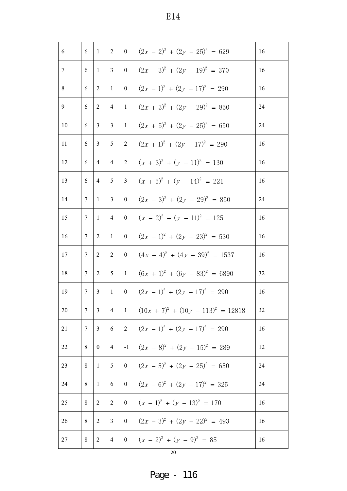| 6              | $\vert 1 \vert$ | 2                                                    | $\boldsymbol{0}$ | $(2x - 2)^2 + (2y - 25)^2 = 629$      | 16                                                                |
|----------------|-----------------|------------------------------------------------------|------------------|---------------------------------------|-------------------------------------------------------------------|
| 6              | $\overline{1}$  | $\mathbf{3}$                                         | $\overline{0}$   |                                       | 16                                                                |
| 6              | 2               | -1                                                   | $\boldsymbol{0}$ | $(2x - 1)^2 + (2y - 17)^2 = 290$      | 16                                                                |
| 6              | 2               |                                                      | $\overline{1}$   | $(2x + 3)^2 + (2y - 29)^2 = 850$      | 24                                                                |
| 6              | $\overline{3}$  | $\overline{3}$                                       | $\mathbf{1}$     | $(2x + 5)^2 + (2y - 25)^2 = 650$      | 24                                                                |
| 6              | $\overline{3}$  | $\overline{5}$                                       | 2                | $(2x + 1)^2 + (2y - 17)^2 = 290$      | 16                                                                |
| 6              | $\overline{4}$  | $\overline{4}$                                       | 2                | $(x + 3)^2 + (y - 11)^2 = 130$        | 16                                                                |
| 6              | $\overline{4}$  | $5^{\circ}$                                          | 3                | $(x + 5)^2 + (y - 14)^2 = 221$        | 16                                                                |
| $\tau$         |                 | $\overline{3}$                                       | $\overline{0}$   | $(2x - 3)^2 + (2y - 29)^2 = 850$      | 24                                                                |
| $\tau$         |                 | $\overline{4}$                                       | $\overline{0}$   | $(x - 2)^2 + (y - 11)^2 = 125$        | 16                                                                |
| $\tau$         | 2               | -1                                                   | $\boldsymbol{0}$ | $(2x - 1)^2 + (2y - 23)^2 = 530$      | 16                                                                |
| 7              | 2               | 2                                                    | $\boldsymbol{0}$ | $(4x - 4)^2 + (4y - 39)^2 = 1537$     | 16                                                                |
| $\tau$         | 2               | $5\overline{)}$                                      | $\mathbf{1}$     |                                       | 32                                                                |
| $\tau$         | $\overline{3}$  | $\overline{1}$                                       | $\boldsymbol{0}$ | $(2x - 1)^2 + (2y - 17)^2 = 290$      | 16                                                                |
| $\overline{7}$ |                 | $\overline{4}$                                       | $\mathbf{1}$     | $(10x + 7)^2 + (10y - 113)^2 = 12818$ | 32                                                                |
| 7              | $\mathfrak{Z}$  | 6                                                    | 2                | $(2x - 1)^2 + (2y - 17)^2 = 290$      | 16                                                                |
| 8              | $\mathbf{0}$    | $\overline{4}$                                       | $-1$             | $(2x - 8)^2 + (2y - 15)^2 = 289$      | 12                                                                |
| 8              | $\overline{1}$  | 5                                                    | $\mathbf{0}$     | $(2x - 5)^2 + (2y - 25)^2 = 650$      | 24                                                                |
| 8              | -1              | 6                                                    | $\boldsymbol{0}$ | $(2x - 6)^2 + (2y - 17)^2 = 325$      | 24                                                                |
| 8              | 2               | 2                                                    | $\boldsymbol{0}$ | $(x - 1)^2 + (y - 13)^2 = 170$        | 16                                                                |
| 8              | 2               | 3                                                    | $\boldsymbol{0}$ | $(2x - 3)^2 + (2y - 22)^2 = 493$      | 16                                                                |
| 8              | 2               | $\overline{4}$                                       | $\overline{0}$   | $(x - 2)^2 + (y - 9)^2 = 85$          | 16                                                                |
|                |                 | $\vert 1 \vert$<br>$\vert 1 \vert$<br>$\overline{3}$ | $\vert 4 \vert$  |                                       | $(2x-3)^2 + (2y-19)^2 = 370$<br>$(6x + 1)^2 + (6y - 83)^2 = 6890$ |

Page - 116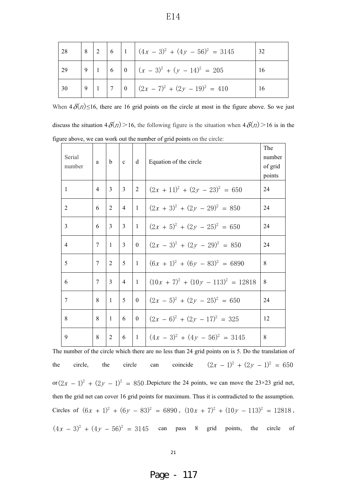| 28 |  |  | $\begin{vmatrix} 8 & 2 & 6 \end{vmatrix}$ 1 $(4x - 3)^2 + (4y - 56)^2 = 3145$                               | 32 |
|----|--|--|-------------------------------------------------------------------------------------------------------------|----|
|    |  |  | $\begin{vmatrix} 29 & 9 & 1 \\ 6 & 6 & 0 \end{vmatrix}$ $(x-3)^2 + (y-14)^2 = 205$                          | 16 |
| 30 |  |  | $\begin{array}{ c c c c c c c c } \hline 9 & 1 & 7 & 0 & (2x-7)^2 & (2y-19)^2 & = & 410 \hline \end{array}$ | 16 |

When  $4\delta(n) \leq 16$ , there are 16 grid points on the circle at most in the figure above. So we just

discuss the situation  $4\delta(n) > 16$ , the following figure is the situation when  $4\delta(n) > 16$  is in the figure above, we can work out the number of grid points on the circle:

| Serial<br>number | a           | $\mathbf b$    | c              | d              | Equation of the circle                | The<br>number<br>of grid<br>points |
|------------------|-------------|----------------|----------------|----------------|---------------------------------------|------------------------------------|
| 1                | 4           | $\mathbf{3}$   | $\overline{3}$ | $\overline{2}$ | $(2x + 11)^2 + (2y - 23)^2 = 650$     | 24                                 |
| $\overline{2}$   | 6           | 2              | $\overline{4}$ | -1             | $(2x + 3)^2 + (2y - 29)^2 = 850$      | 24                                 |
| 3                | 6           | $\mathbf{3}$   | $\overline{3}$ | $\mathbf{1}$   | $(2x + 5)^2 + (2y - 25)^2 = 650$      | 24                                 |
| $\overline{4}$   | $\tau$      | $\overline{1}$ | $\overline{3}$ | $\Omega$       | $(2x - 3)^2 + (2y - 29)^2 = 850$      | 24                                 |
| 5                | $\tau$      | 2              | 5 <sup>5</sup> | $\overline{1}$ | $(6x + 1)^2 + (6y - 83)^2 = 6890$     | 8                                  |
| 6                | $7^{\circ}$ | $\mathcal{E}$  | $\overline{4}$ | $\overline{1}$ | $(10x + 7)^2 + (10y - 113)^2 = 12818$ | 8                                  |
| $\tau$           | 8           | $\mathbf{1}$   | 5 <sup>5</sup> | $\overline{0}$ | $(2x-5)^2 + (2y-25)^2 = 650$          | 24                                 |
| 8                | 8           | $\mathbf{1}$   | $\overline{6}$ | $\overline{0}$ | $(2x-6)^2 + (2y-17)^2 = 325$          | 12                                 |
| 9                | 8           | $\overline{2}$ | 6              |                | $1(4x-3)^2 + (4y-56)^2 = 3145$        | 8                                  |

The number of the circle which there are no less than 24 grid points on is 5. Do the translation of the circle, the circle can coincide  $(2x - 1)^2 + (2y - 1)^2 = 650$ or  $(2x - 1)^2 + (2y - 1)^2 = 850$ . Depicture the 24 points, we can move the 23×23 grid net, then the grid net can cover 16 grid points for maximum. Thus it is contradicted to the assumption. Circles of  $(6x + 1)^2 + (6y - 83)^2 = 6890$ ,  $(10x + 7)^2 + (10y - 113)^2 = 12818$ ,  $(4x - 3)^2 + (4y - 56)^2 = 3145$  can pass 8 grid points, the circle of